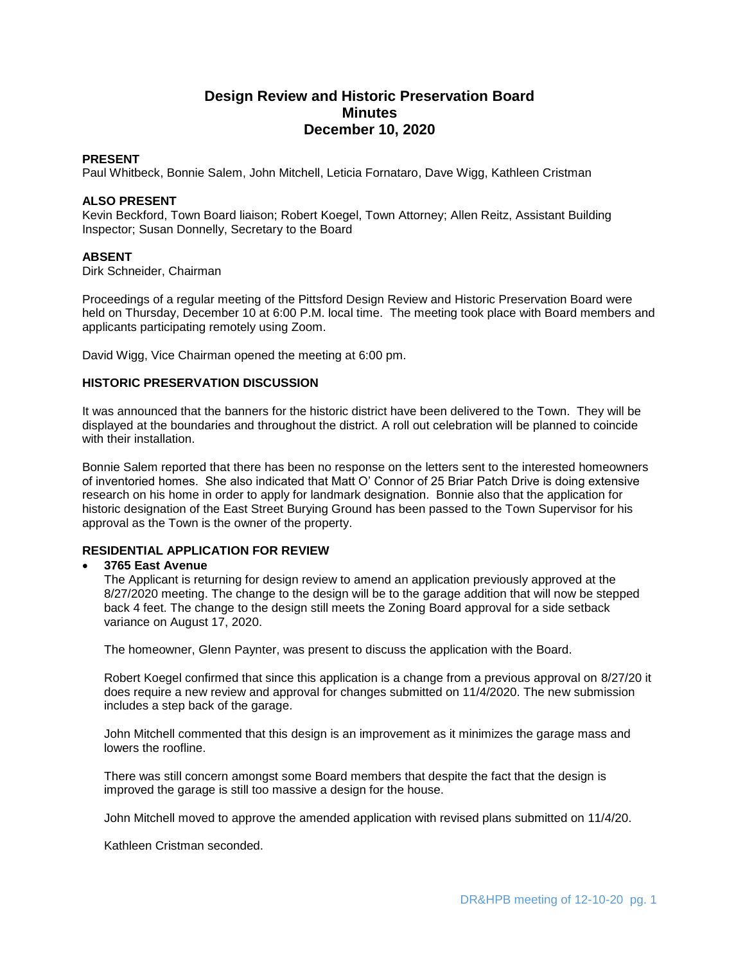# **Design Review and Historic Preservation Board Minutes December 10, 2020**

#### **PRESENT**

Paul Whitbeck, Bonnie Salem, John Mitchell, Leticia Fornataro, Dave Wigg, Kathleen Cristman

## **ALSO PRESENT**

Kevin Beckford, Town Board liaison; Robert Koegel, Town Attorney; Allen Reitz, Assistant Building Inspector; Susan Donnelly, Secretary to the Board

## **ABSENT**

Dirk Schneider, Chairman

Proceedings of a regular meeting of the Pittsford Design Review and Historic Preservation Board were held on Thursday, December 10 at 6:00 P.M. local time. The meeting took place with Board members and applicants participating remotely using Zoom.

David Wigg, Vice Chairman opened the meeting at 6:00 pm.

## **HISTORIC PRESERVATION DISCUSSION**

It was announced that the banners for the historic district have been delivered to the Town. They will be displayed at the boundaries and throughout the district. A roll out celebration will be planned to coincide with their installation.

Bonnie Salem reported that there has been no response on the letters sent to the interested homeowners of inventoried homes. She also indicated that Matt O' Connor of 25 Briar Patch Drive is doing extensive research on his home in order to apply for landmark designation. Bonnie also that the application for historic designation of the East Street Burying Ground has been passed to the Town Supervisor for his approval as the Town is the owner of the property.

## **RESIDENTIAL APPLICATION FOR REVIEW**

## **3765 East Avenue**

The Applicant is returning for design review to amend an application previously approved at the 8/27/2020 meeting. The change to the design will be to the garage addition that will now be stepped back 4 feet. The change to the design still meets the Zoning Board approval for a side setback variance on August 17, 2020.

The homeowner, Glenn Paynter, was present to discuss the application with the Board.

Robert Koegel confirmed that since this application is a change from a previous approval on 8/27/20 it does require a new review and approval for changes submitted on 11/4/2020. The new submission includes a step back of the garage.

John Mitchell commented that this design is an improvement as it minimizes the garage mass and lowers the roofline.

There was still concern amongst some Board members that despite the fact that the design is improved the garage is still too massive a design for the house.

John Mitchell moved to approve the amended application with revised plans submitted on 11/4/20.

Kathleen Cristman seconded.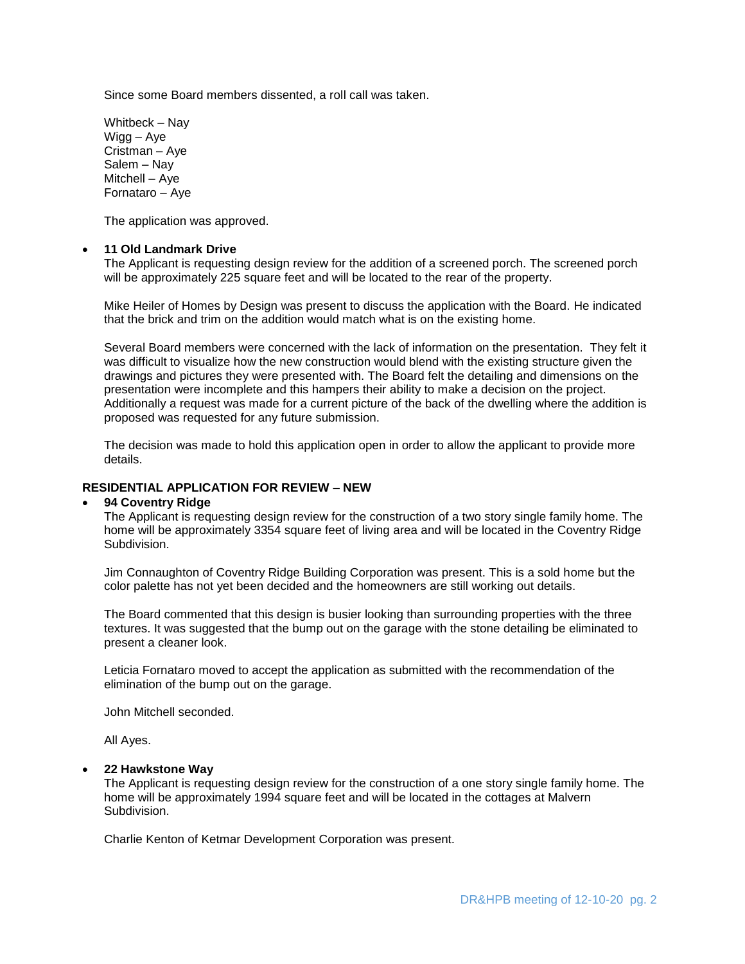Since some Board members dissented, a roll call was taken.

Whitbeck – Nay Wigg – Aye Cristman – Aye Salem – Nay Mitchell – Aye Fornataro – Aye

The application was approved.

#### **11 Old Landmark Drive**

The Applicant is requesting design review for the addition of a screened porch. The screened porch will be approximately 225 square feet and will be located to the rear of the property.

Mike Heiler of Homes by Design was present to discuss the application with the Board. He indicated that the brick and trim on the addition would match what is on the existing home.

Several Board members were concerned with the lack of information on the presentation. They felt it was difficult to visualize how the new construction would blend with the existing structure given the drawings and pictures they were presented with. The Board felt the detailing and dimensions on the presentation were incomplete and this hampers their ability to make a decision on the project. Additionally a request was made for a current picture of the back of the dwelling where the addition is proposed was requested for any future submission.

The decision was made to hold this application open in order to allow the applicant to provide more details.

## **RESIDENTIAL APPLICATION FOR REVIEW – NEW**

#### **94 Coventry Ridge**

The Applicant is requesting design review for the construction of a two story single family home. The home will be approximately 3354 square feet of living area and will be located in the Coventry Ridge Subdivision.

Jim Connaughton of Coventry Ridge Building Corporation was present. This is a sold home but the color palette has not yet been decided and the homeowners are still working out details.

The Board commented that this design is busier looking than surrounding properties with the three textures. It was suggested that the bump out on the garage with the stone detailing be eliminated to present a cleaner look.

Leticia Fornataro moved to accept the application as submitted with the recommendation of the elimination of the bump out on the garage.

John Mitchell seconded.

All Ayes.

#### **22 Hawkstone Way**

The Applicant is requesting design review for the construction of a one story single family home. The home will be approximately 1994 square feet and will be located in the cottages at Malvern Subdivision.

Charlie Kenton of Ketmar Development Corporation was present.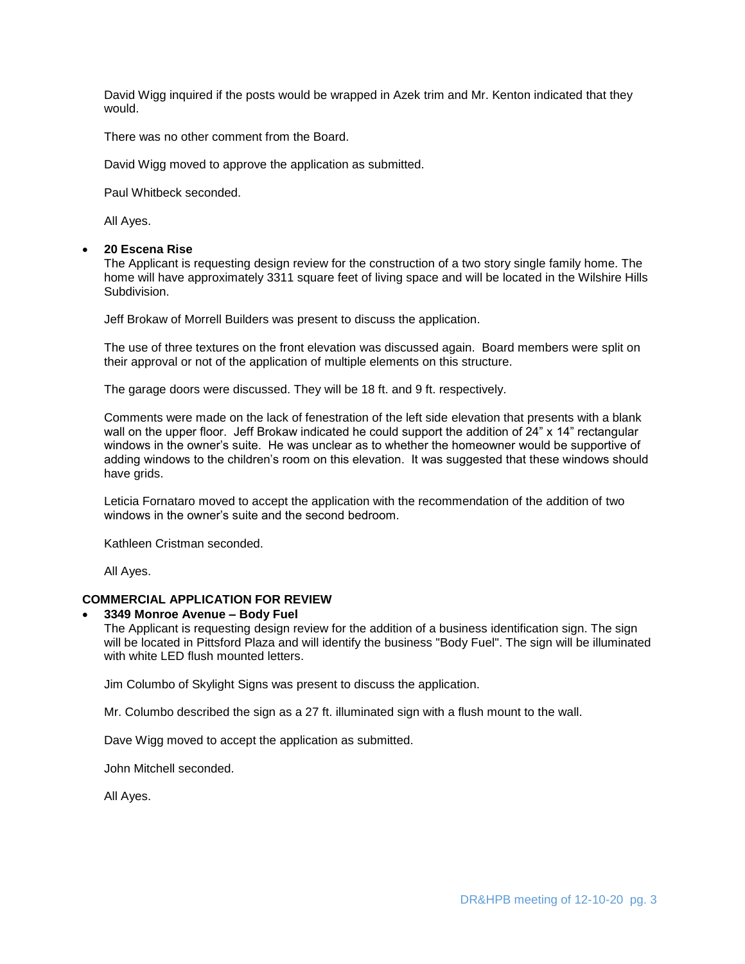David Wigg inquired if the posts would be wrapped in Azek trim and Mr. Kenton indicated that they would.

There was no other comment from the Board.

David Wigg moved to approve the application as submitted.

Paul Whitbeck seconded.

All Ayes.

## **20 Escena Rise**

The Applicant is requesting design review for the construction of a two story single family home. The home will have approximately 3311 square feet of living space and will be located in the Wilshire Hills Subdivision.

Jeff Brokaw of Morrell Builders was present to discuss the application.

The use of three textures on the front elevation was discussed again. Board members were split on their approval or not of the application of multiple elements on this structure.

The garage doors were discussed. They will be 18 ft. and 9 ft. respectively.

Comments were made on the lack of fenestration of the left side elevation that presents with a blank wall on the upper floor. Jeff Brokaw indicated he could support the addition of 24" x 14" rectangular windows in the owner's suite. He was unclear as to whether the homeowner would be supportive of adding windows to the children's room on this elevation. It was suggested that these windows should have grids.

Leticia Fornataro moved to accept the application with the recommendation of the addition of two windows in the owner's suite and the second bedroom.

Kathleen Cristman seconded.

All Ayes.

## **COMMERCIAL APPLICATION FOR REVIEW**

## **3349 Monroe Avenue – Body Fuel**

The Applicant is requesting design review for the addition of a business identification sign. The sign will be located in Pittsford Plaza and will identify the business "Body Fuel". The sign will be illuminated with white LED flush mounted letters.

Jim Columbo of Skylight Signs was present to discuss the application.

Mr. Columbo described the sign as a 27 ft. illuminated sign with a flush mount to the wall.

Dave Wigg moved to accept the application as submitted.

John Mitchell seconded.

All Ayes.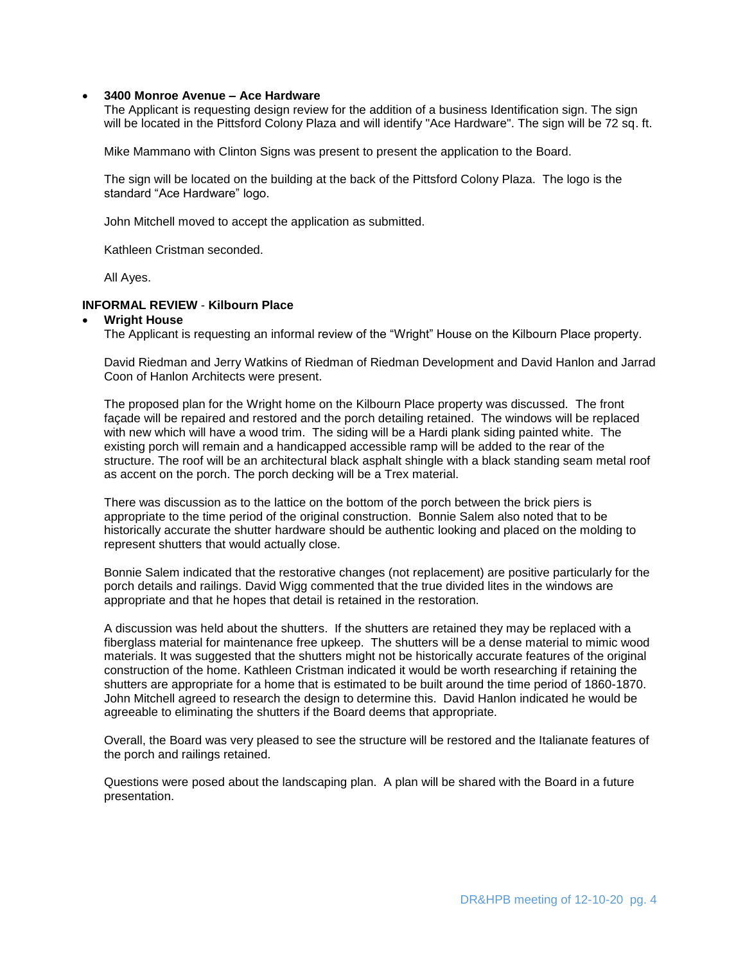## **3400 Monroe Avenue – Ace Hardware**

The Applicant is requesting design review for the addition of a business Identification sign. The sign will be located in the Pittsford Colony Plaza and will identify "Ace Hardware". The sign will be 72 sq. ft.

Mike Mammano with Clinton Signs was present to present the application to the Board.

The sign will be located on the building at the back of the Pittsford Colony Plaza. The logo is the standard "Ace Hardware" logo.

John Mitchell moved to accept the application as submitted.

Kathleen Cristman seconded.

All Ayes.

## **INFORMAL REVIEW** - **Kilbourn Place**

## **Wright House**

The Applicant is requesting an informal review of the "Wright" House on the Kilbourn Place property.

David Riedman and Jerry Watkins of Riedman of Riedman Development and David Hanlon and Jarrad Coon of Hanlon Architects were present.

The proposed plan for the Wright home on the Kilbourn Place property was discussed. The front façade will be repaired and restored and the porch detailing retained. The windows will be replaced with new which will have a wood trim. The siding will be a Hardi plank siding painted white. The existing porch will remain and a handicapped accessible ramp will be added to the rear of the structure. The roof will be an architectural black asphalt shingle with a black standing seam metal roof as accent on the porch. The porch decking will be a Trex material.

There was discussion as to the lattice on the bottom of the porch between the brick piers is appropriate to the time period of the original construction. Bonnie Salem also noted that to be historically accurate the shutter hardware should be authentic looking and placed on the molding to represent shutters that would actually close.

Bonnie Salem indicated that the restorative changes (not replacement) are positive particularly for the porch details and railings. David Wigg commented that the true divided lites in the windows are appropriate and that he hopes that detail is retained in the restoration.

A discussion was held about the shutters. If the shutters are retained they may be replaced with a fiberglass material for maintenance free upkeep. The shutters will be a dense material to mimic wood materials. It was suggested that the shutters might not be historically accurate features of the original construction of the home. Kathleen Cristman indicated it would be worth researching if retaining the shutters are appropriate for a home that is estimated to be built around the time period of 1860-1870. John Mitchell agreed to research the design to determine this. David Hanlon indicated he would be agreeable to eliminating the shutters if the Board deems that appropriate.

Overall, the Board was very pleased to see the structure will be restored and the Italianate features of the porch and railings retained.

Questions were posed about the landscaping plan. A plan will be shared with the Board in a future presentation.